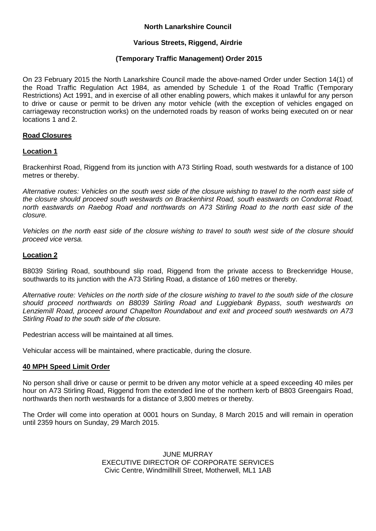# **North Lanarkshire Council**

# **Various Streets, Riggend, Airdrie**

# **(Temporary Traffic Management) Order 2015**

On 23 February 2015 the North Lanarkshire Council made the above-named Order under Section 14(1) of the Road Traffic Regulation Act 1984, as amended by Schedule 1 of the Road Traffic (Temporary Restrictions) Act 1991, and in exercise of all other enabling powers, which makes it unlawful for any person to drive or cause or permit to be driven any motor vehicle (with the exception of vehicles engaged on carriageway reconstruction works) on the undernoted roads by reason of works being executed on or near locations 1 and 2.

### **Road Closures**

### **Location 1**

Brackenhirst Road, Riggend from its junction with A73 Stirling Road, south westwards for a distance of 100 metres or thereby.

*Alternative routes: Vehicles on the south west side of the closure wishing to travel to the north east side of the closure should proceed south westwards on Brackenhirst Road, south eastwards on Condorrat Road, north eastwards on Raebog Road and northwards on A73 Stirling Road to the north east side of the closure.* 

*Vehicles on the north east side of the closure wishing to travel to south west side of the closure should proceed vice versa.*

### **Location 2**

B8039 Stirling Road, southbound slip road, Riggend from the private access to Breckenridge House, southwards to its junction with the A73 Stirling Road, a distance of 160 metres or thereby.

*Alternative route: Vehicles on the north side of the closure wishing to travel to the south side of the closure should proceed northwards on B8039 Stirling Road and Luggiebank Bypass, south westwards on Lenziemill Road, proceed around Chapelton Roundabout and exit and proceed south westwards on A73 Stirling Road to the south side of the closure.*

Pedestrian access will be maintained at all times.

Vehicular access will be maintained, where practicable, during the closure.

#### **40 MPH Speed Limit Order**

No person shall drive or cause or permit to be driven any motor vehicle at a speed exceeding 40 miles per hour on A73 Stirling Road, Riggend from the extended line of the northern kerb of B803 Greengairs Road, northwards then north westwards for a distance of 3,800 metres or thereby.

The Order will come into operation at 0001 hours on Sunday, 8 March 2015 and will remain in operation until 2359 hours on Sunday, 29 March 2015.

> JUNE MURRAY EXECUTIVE DIRECTOR OF CORPORATE SERVICES Civic Centre, Windmillhill Street, Motherwell, ML1 1AB